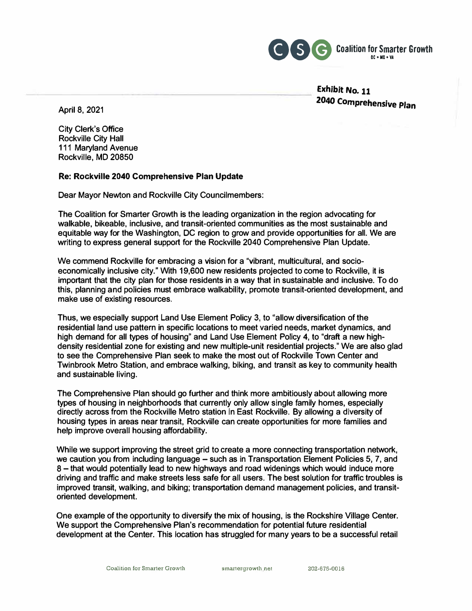

**Exhibit No. 11 <sup>204</sup>**° **Comprehensive Plan**

**April 8, 2021** 

**City Clerk's Office Rockville City Hall 111 Maryland Avenue Rockville, MD 20850** 

#### **Re: Rockville 2040 Comprehensive Plan Update**

**Dear Mayor Newton and Rockville City Councilmembers:** 

**The Coalition for Smarter Growth is the leading organization in the region advocating for walkable, bikeable, inclusive, and transit-oriented communities as the most sustainable and equitable way for the Washington, DC region to grow and provide opportunities for all. We are writing to express general support for the Rockville 2040 Comprehensive Plan Update.** 

**We commend Rockville for embracing a vision for a "vibrant, multicultural, and socioeconomically inclusive city." With 19,600 new residents projected to come to Rockville, it is important that the city plan for those residents in a way that in sustainable and inclusive. To do this, planning and policies must embrace walkability, promote transit-oriented development, and make use of existing resources.** 

**Thus, we especially support Land Use Element Policy 3, to "allow diversification of the residential land use pattern in specific locations to meet varied needs, market dynamics, and high demand for all types of housing" and Land Use Element Policy 4, to "draft a new highdensity residential zone for existing and new multiple-unit residential projects." We are also glad to see the Comprehensive Plan seek to make the most out of Rockville Town Center and Twinbrook Metro Station, and embrace walking, biking, and transit as key to community health and sustainable living.** 

**The Comprehensive Plan should go further and think more ambitiously about allowing more types of housing in neighborhoods that currently only allow single family homes, especially directly across from the Rockville Metro station in East Rockville. By allowing a diversity of housing types in areas near transit, Rockville can create opportunities for more families and help improve overall housing affordability.** 

**While we support improving the street grid to create a more connecting transportation network, we caution you from including language - such as in Transportation Element Policies 5, 7, and 8 - that would potentially lead to new highways and road widenings which would induce more driving and traffic and make streets less safe for all users. The best solution for traffic troubles is improved transit, walking, and biking; transportation demand management policies, and transitoriented development.** 

**One example of the opportunity to diversify the mix of housing, is the Rockshire Village Center. We support the Comprehensive Plan's recommendation for potential future residential development at the Center. This location has struggled for many years to be a successful retail** 

**Coalition for Smarter Growth smartergrowth net** 202-675-0016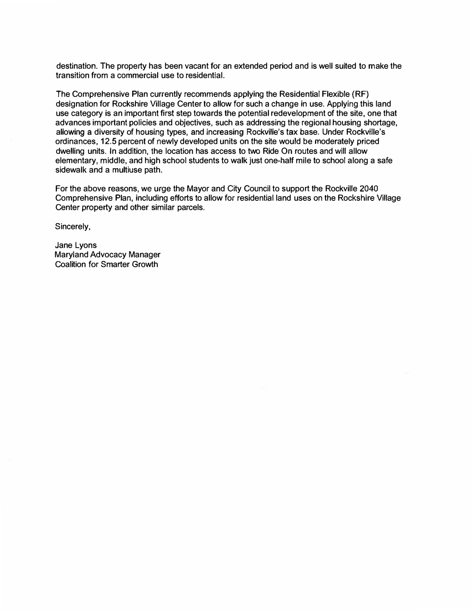destination. The property has been vacant for an extended period and is well suited to make the transition from a commercial use to residential.

The Comprehensive Plan currently recommends applying the Residential Flexible (RF) designation for Rockshire Village Center to allow for such a change in use. Applying this land use category is an important first step towards the potential redevelopment of the site, one that advances important policies and objectives, such as addressing the regional housing shortage, allowing a diversity of housing types, and increasing Rockville's tax base. Under Rockville's ordinances, 12.5 percent of newly developed units on the site would be moderately priced dwelling units. In addition, the location has access to two Ride On routes and **will** allow elementary, middle, and high school students to walk just one-half mile to school along a safe sidewalk and a multiuse path.

For the above reasons, we urge the Mayor and City Council to support the Rockville 2040 Comprehensive Plan, including efforts to allow for residential land uses on the Rockshire Village Center property and other similar parcels.

Sincerely,

Jane Lyons Maryland Advocacy Manager Coalition for Smarter Growth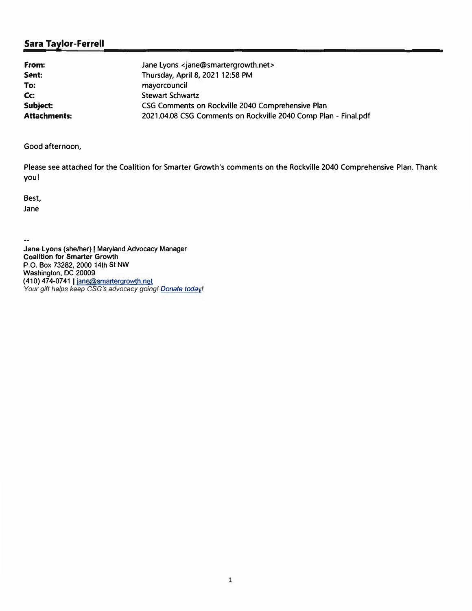| From:               | Jane Lyons <jane@smartergrowth.net></jane@smartergrowth.net>    |
|---------------------|-----------------------------------------------------------------|
| Sent:               | Thursday, April 8, 2021 12:58 PM                                |
| To:                 | mayorcouncil                                                    |
| Cc:                 | <b>Stewart Schwartz</b>                                         |
| Subject:            | CSG Comments on Rockville 2040 Comprehensive Plan               |
| <b>Attachments:</b> | 2021.04.08 CSG Comments on Rockville 2040 Comp Plan - Final.pdf |

Good afternoon,

Please see attached for the Coalition for Smarter Growth's comments on the Rockville 2040 Comprehensive Plan. Thank you!

Best, Jane

 $\omega_{\rm m}$ **Jane Lyons (she/her)** I **Maryland Advocacy Manager Coalition for Smarter Growth P.O. Box 73282, 2000 14th St NW Washington, DC 20009 (410)474-07411 tane@smartergrowth.net** *Your gift helps keep CSG's advocacy going! Donate toda !*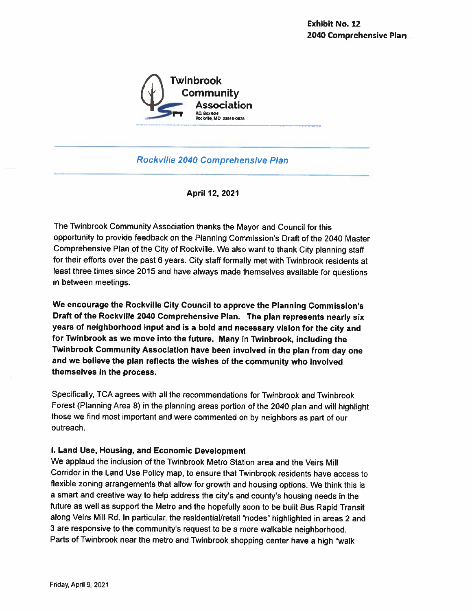

**Rockville 2040 Comprehensive Plan** 

April 12, 2021

The Twinbrook Community Association thanks the Mayor and Council for this opportunity to provide feedback on the Planning Commission's Draft of the 2040 Master Comprehensive Plan of the City of Rockville. We also want to thank City planning staff for their efforts over the past 6 years. City staff formally met with Twinbrook residents at least three times since 2015 and have always made themselves available for questions in between meetings.

We encourage the Rockville City Council to approve the Planning Commission's Draft of the Rockville 2040 Comprehensive Plan. The plan represents nearly six years of neighborhood input and is a bold and necessary vision for the city and for Twinbrook as we move into the future. Many in Twinbrook, including the Twinbrook Community Association have been involved in the plan from day one and we believe the plan reflects the wishes of the community who involved themselves in the process.

Specifically, TCA agrees with all the recommendations for Twinbrook and Twinbrook Forest (Planning Area 8) in the planning areas portion of the 2040 plan and will highlight those we find most important and were commented on by neighbors as part of our outreach.

### I. Land Use, Housing, and Economic Development

We applaud the inclusion of the Twinbrook Metro Station area and the Veirs Mill Corridor in the Land Use Policy map, to ensure that Twinbrook residents have access to flexible zoning arrangements that allow for growth and housing options. We think this is a smart and creative way to help address the city's and county's housing needs in the future as well as support the Metro and the hopefully soon to be built Bus Rapid Transit along Veirs Mill Rd. In particular, the residential/retail "nodes" highlighted in areas 2 and 3 are responsive to the community's request to be a more walkable neighborhood. Parts of Twinbrook near the metro and Twinbrook shopping center have a high "walk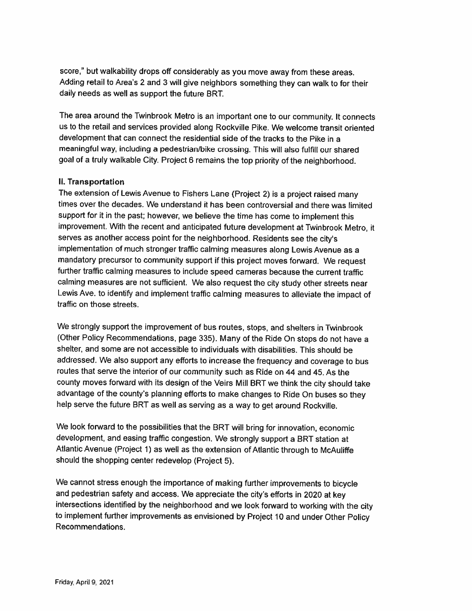score," but walkability drops off considerably as you move away from these areas. Adding retail to Area's 2 and 3 will give neighbors something they can walk to for their daily needs as well as support the future BRT.

The area around the Twinbrook Metro is an important one to our community. It connects us to the retail and services provided along Rockville Pike. We welcome transit oriented development that can connect the residential side of the tracks to the Pike in a meaningful way, including a pedestrian/bike crossing. This will also fulfill our shared goal of a truly walkable City. Project 6 remains the top priority of the neighborhood.

#### II. Transportation

The extension of Lewis Avenue to Fishers Lane (Project 2) is a project raised many times over the decades. We understand it has been controversial and there was limited support for it in the past; however, we believe the time has come to implement this improvement. With the recent and anticipated future development at Twinbrook Metro, it serves as another access point for the neighborhood. Residents see the city's implementation of much stronger traffic calming measures along Lewis Avenue as a mandatory precursor to community support if this project moves forward. We request further traffic calming measures to include speed cameras because the current traffic calming measures are not sufficient. We also request the city study other streets near Lewis Ave. to identify and implement traffic calming measures to alleviate the impact of traffic on those streets.

We strongly support the improvement of bus routes, stops, and shelters in Twinbrook (Other Policy Recommendations, page 335). Many of the Ride On stops do not have a shelter, and some are not accessible to individuals with disabilities. This should be addressed. We also support any efforts to increase the frequency and coverage to bus routes that serve the interior of our community such as Ride on 44 and 45. As the county moves forward with its design of the Veirs Mill BRT we think the city should take advantage of the county's planning efforts to make changes to Ride On buses so they help serve the future BRT as well as serving as a way to get around Rockville.

We look forward to the possibilities that the BRT will bring for innovation, economic development, and easing traffic congestion. We strongly support a BRT station at Atlantic Avenue (Project 1) as well as the extension of Atlantic through to McAuliffe should the shopping center redevelop (Project 5).

We cannot stress enough the importance of making further improvements to bicycle and pedestrian safety and access. We appreciate the city's efforts in 2020 at key intersections identified by the neighborhood and we look forward to working with the city to implement further improvements as envisioned by Project 10 and under Other Policy Recommendations.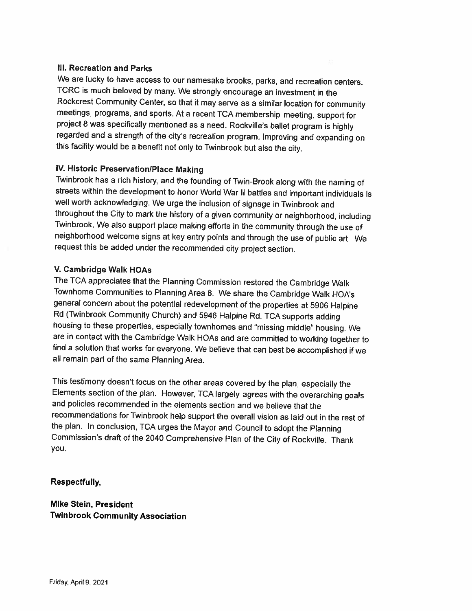#### **III. Recreation and Parks**

We are lucky to have access to our namesake brooks, parks, and recreation centers. TCRC is much beloved by many. We strongly encourage an investment in the Rockcrest Community Center, so that it may serve as a similar location for community meetings, programs, and sports. At a recent TCA membership meeting, support for project 8 was specifically mentioned as a need. Rockville's ballet program is highly regarded and a strength of the city's recreation program. Improving and expanding on this facility would be a benefit not only to Twinbrook but also the city.

#### IV. Historic Preservation/Place Making

Twinbrook has a rich history, and the founding of Twin-Brook along with the naming of streets within the development to honor World War II battles and important individuals is well worth acknowledging. We urge the inclusion of signage in Twinbrook and throughout the City to mark the history of a given community or neighborhood, including Twinbrook. We also support place making efforts in the community through the use of neighborhood welcome signs at key entry points and through the use of public art. We request this be added under the recommended city project section.

#### V. Cambridge Walk HOAs

The TCA appreciates that the Planning Commission restored the Cambridge Walk Townhome Communities to Planning Area 8. We share the Cambridge Walk HOA's general concern about the potential redevelopment of the properties at 5906 Halpine Rd (Twinbrook Community Church) and 5946 Halpine Rd. TCA supports adding housing to these properties, especially townhomes and "missing middle" housing. We are in contact with the Cambridge Walk HOAs and are committed to working together to find a solution that works for everyone. We believe that can best be accomplished if we all remain part of the same Planning Area.

This testimony doesn't focus on the other areas covered by the plan, especially the Elements section of the plan. However, TCA largely agrees with the overarching goals and policies recommended in the elements section and we believe that the recommendations for Twinbrook help support the overall vision as laid out in the rest of the plan. In conclusion, TCA urges the Mayor and Council to adopt the Planning Commission's draft of the 2040 Comprehensive Plan of the City of Rockville. Thank you.

### Respectfully,

**Mike Stein, President Twinbrook Community Association**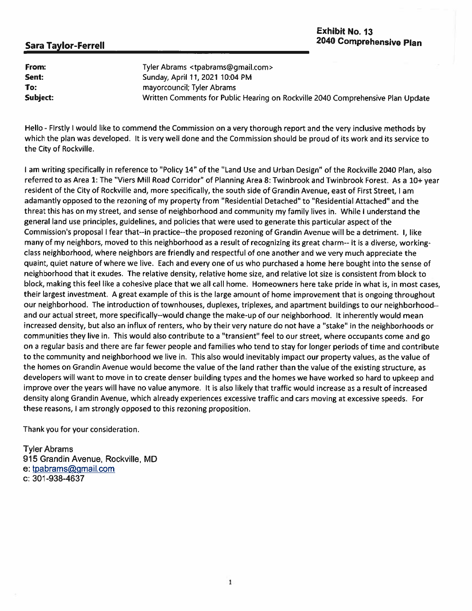| From:    | Tyler Abrams <tpabrams@gmail.com></tpabrams@gmail.com>                          |
|----------|---------------------------------------------------------------------------------|
| Sent:    | Sunday, April 11, 2021 10:04 PM                                                 |
| To:      | mayorcouncil; Tyler Abrams                                                      |
| Subject: | Written Comments for Public Hearing on Rockville 2040 Comprehensive Plan Update |

Hello - Firstly I would like to commend the Commission on a very thorough report and the very inclusive methods by which the plan was developed. It is very well done and the Commission should be proud of its work and its service to the City of Rockville.

I am writing specifically in reference to "Policy 14" of the "Land Use and Urban Design" of the Rockville 2040 Plan, also referred to as Area 1: The "Viers Mill Road Corridor" of Planning Area 8: Twinbrook and Twinbrook Forest. As a 10+ year resident of the City of Rockville and, more specifically, the south side of Grandin Avenue, east of First Street, I am adamantly opposed to the rezoning of my property from "Residential Detached" to "Residential Attached" and the threat this has on my street, and sense of neighborhood and community my family lives in. While I understand the general land use principles, guidelines, and policies that were used to generate this particular aspect of the Commission's proposal I fear that--in practice--the proposed rezoning of Grandin Avenue will be a detriment. I, like many of my neighbors, moved to this neighborhood as a result of recognizing its great charm-- it is a diverse, workingclass neighborhood, where neighbors are friendly and respectful of one another and we very much appreciate the quaint, quiet nature of where we live. Each and every one of us who purchased a home here bought into the sense of neighborhood that it exudes. The relative density, relative home size, and relative lot size is consistent from block to block, making this feel like a cohesive place that we all call home. Homeowners here take pride in what is, in most cases, their largest investment. A great example of this is the large amount of home improvement that is ongoing throughout our neighborhood. The introduction of townhouses, duplexes, triplexes, and apartment buildings to our neighborhood-and our actual street, more specifically--would change the make-up of our neighborhood. It inherently would mean increased density, but also an influx of renters, who by their very nature do not have a "stake" in the neighborhoods or communities they live in. This would also contribute to a "transient" feel to our street, where occupants come and go on a regular basis and there are far fewer people and families who tend to stay for longer periods of time and contribute to the community and neighborhood we live in. This also would inevitably impact our property values, as the value of the homes on Grandin Avenue would become the value of the land rather than the value of the existing structure, as developers will want to move in to create denser building types and the homes we have worked so hard to upkeep and improve over the years will have no value anymore. It is also likely that traffic would increase as a result of increased density along Grandin Avenue, which already experiences excessive traffic and cars moving at excessive speeds. For these reasons, I am strongly opposed to this rezoning proposition.

Thank you for your consideration.

**Tyler Abrams** 915 Grandin Avenue, Rockville, MD e: tpabrams@gmail.com c: 301-938-4637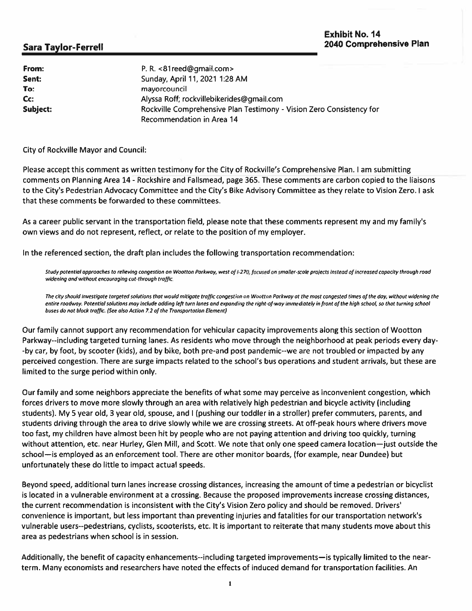| From:    | P.R. <81reed@gmail.com>                                              |
|----------|----------------------------------------------------------------------|
| Sent:    | Sunday, April 11, 2021 1:28 AM                                       |
| To:      | mayorcouncil                                                         |
| Cc:      | Alyssa Roff; rockvillebikerides@gmail.com                            |
| Subject: | Rockville Comprehensive Plan Testimony - Vision Zero Consistency for |
|          | Recommendation in Area 14                                            |

**City of Rockville Mayor and Council:** 

Please accept this comment as written testimony for the City of Rockville's Comprehensive Plan. I am submitting comments on Planning Area 14 - Rockshire and Fallsmead, page 365. These comments are carbon copied to the liaisons to the City's Pedestrian Advocacy Committee and the City's Bike Advisory Committee as they relate to Vision Zero. I ask that these comments be forwarded to these committees.

As a career public servant in the transportation field, please note that these comments represent my and my family's own views and do not represent, reflect, or relate to the position of my employer.

In the referenced section, the draft plan includes the following transportation recommendation:

Study potential approaches to relieving congestion on Wootton Parkway, west of I-270, facused on smaller-scale projects instead of increased capacity through road widening and without encouraging cut-through traffic.

The city should investigate targeted solutions that would mitigate traffic congestion on Wootton Parkway at the most congested times of the day, without widening the entire roadway. Potential solutions may include adding left turn lanes and expanding the right-of-way immediately in front of the high school, so that turning school buses do not block traffic. (See also Action 7.2 of the Transportation Element)

Our family cannot support any recommendation for vehicular capacity improvements along this section of Wootton Parkway--including targeted turning lanes. As residents who move through the neighborhood at peak periods every day--by car, by foot, by scooter (kids), and by bike, both pre-and post pandemic--we are not troubled or impacted by any perceived congestion. There are surge impacts related to the school's bus operations and student arrivals, but these are limited to the surge period within only.

Our family and some neighbors appreciate the benefits of what some may perceive as inconvenient congestion, which forces drivers to move more slowly through an area with relatively high pedestrian and bicycle activity (including students). My 5 year old, 3 year old, spouse, and I (pushing our toddler in a stroller) prefer commuters, parents, and students driving through the area to drive slowly while we are crossing streets. At off-peak hours where drivers move too fast, my children have almost been hit by people who are not paying attention and driving too quickly, turning without attention, etc. near Hurley, Glen Mill, and Scott. We note that only one speed camera location-just outside the school-is employed as an enforcement tool. There are other monitor boards, (for example, near Dundee) but unfortunately these do little to impact actual speeds.

Beyond speed, additional turn lanes increase crossing distances, increasing the amount of time a pedestrian or bicyclist is located in a vulnerable environment at a crossing. Because the proposed improvements increase crossing distances, the current recommendation is inconsistent with the City's Vision Zero policy and should be removed. Drivers' convenience is important, but less important than preventing injuries and fatalities for our transportation network's vulnerable users--pedestrians, cyclists, scooterists, etc. It is important to reiterate that many students move about this area as pedestrians when school is in session.

Additionally, the benefit of capacity enhancements--including targeted improvements—is typically limited to the nearterm. Many economists and researchers have noted the effects of induced demand for transportation facilities. An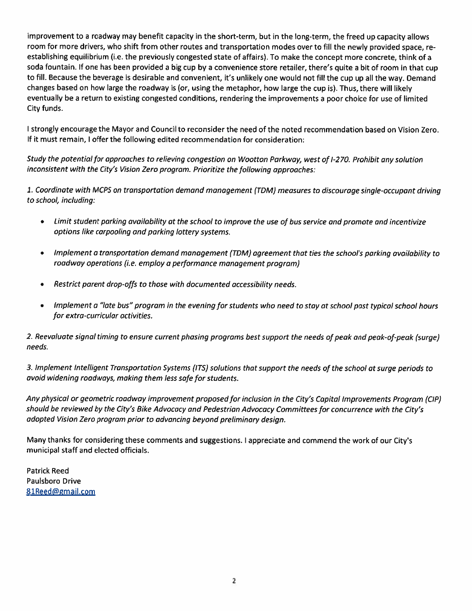improvement to a roadway may benefit capacity in the short-term, but in the long-term, the freed up capacity allows room for more drivers, who shift from other routes and transportation modes over to fill the newly provided space, reestablishing equilibrium (i.e. the previously congested state of affairs). To make the concept more concrete, think of a soda fountain. If one has been provided a big cup by a convenience store retailer, there's quite a bit of room in that cup to fill. Because the beverage is desirable and convenient, it's unlikely one would not fill the cup up all the way. Demand changes based on how large the roadway is (or, using the metaphor, how large the cup is). Thus, there will likely eventually be a return to existing congested conditions, rendering the improvements a poor choice for use of limited City funds.

I strongly encourage the Mayor and Council to reconsider the need of the noted recommendation based on Vision Zero. If it must remain, I offer the following edited recommendation for consideration:

Study the potential for approaches to relieving congestion on Wootton Parkway, west of I-270. Prohibit any solution inconsistent with the City's Vision Zero program. Prioritize the following approaches:

1. Coordinate with MCPS on transportation demand management (TDM) measures to discourage single-occupant driving to school, including:

- Limit student parking availability at the school to improve the use of bus service and promote and incentivize  $\bullet$ options like carpooling and parking lottery systems.
- Implement a transportation demand management (TDM) agreement that ties the school's parking availability to  $\bullet$ roadway operations (i.e. employ a performance management program)
- Restrict parent drop-offs to those with documented accessibility needs.  $\bullet$
- Implement a "late bus" program in the evening for students who need to stay at school past typical school hours  $\bullet$ for extra-curricular activities.

2. Reevaluate signal timing to ensure current phasing programs best support the needs of peak and peak-of-peak (surge) needs.

3. Implement Intelligent Transportation Systems (ITS) solutions that support the needs of the school at surge periods to avoid widening roadways, making them less safe for students.

Any physical or geometric roadway improvement proposed for inclusion in the City's Capital Improvements Program (CIP) should be reviewed by the City's Bike Advocacy and Pedestrian Advocacy Committees for concurrence with the City's adopted Vision Zero program prior to advancing beyond preliminary design.

Many thanks for considering these comments and suggestions. I appreciate and commend the work of our City's municipal staff and elected officials.

**Patrick Reed** Paulsboro Drive 81Reed@gmail.com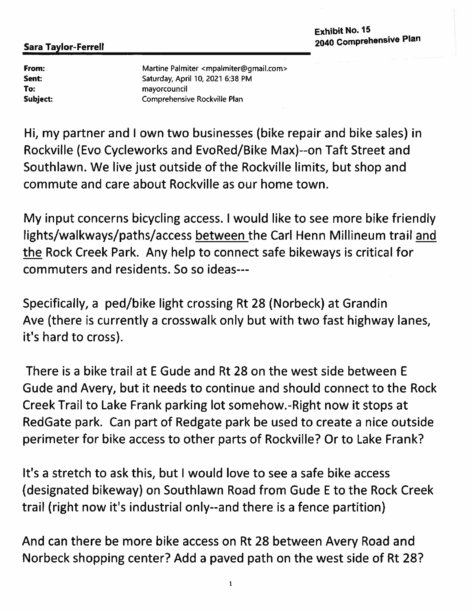From: Sent: To: Subject: Martine Palmiter <mpalmiter@gmail.com> Saturday, April 10, 2021 6:38 PM mayorcouncil Comprehensive Rockville Plan

Hi, my partner and I own two businesses (bike repair and bike sales) in Rockville (Evo Cycleworks and EvoRed/Bike Max)--on Taft Street and Southlawn. We live just outside of the Rockville limits, but shop and commute and care about Rockville as our home town.

My input concerns bicycling access. I would like to see more bike friendly lights/walkways/paths/access between the Carl Henn Millineum trail and the Rock Creek Park. Any help to connect safe bikeways is critical for commuters and residents. So so ideas---

Specifically, a ped/bike light crossing Rt 28 (Norbeck) at Grandin Ave (there is currently a crosswalk only but with two fast highway lanes, it's hard to cross).

There is a bike trail at E Gude and Rt 28 on the west side between E Gude and Avery, but it needs to continue and should connect to the Rock Creek Trail to Lake Frank parking lot somehow.-Right now it stops at RedGate park. Can part of Redgate park be used to create a nice outside perimeter for bike access to other parts of Rockville? Or to Lake Frank?

It's a stretch to ask this, but I would love to see a safe bike access (designated bikeway) on Southlawn Road from Gude E to the Rock Creek trail (right now it's industrial only--and there is a fence partition)

And can there be more bike access on Rt 28 between Avery Road and Norbeck shopping center? Add a paved path on the west side of Rt 28?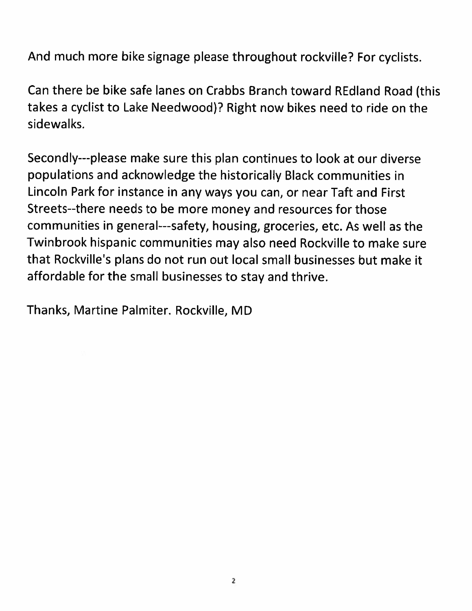And much more bike signage please throughout rockville? For cyclists.

Can there be bike safe lanes on Crabbs Branch toward REdland Road (this takes a cyclist to Lake Needwood)? Right now bikes need to ride on the sidewalks.

Secondly---please make sure this plan continues to look at our diverse populations and acknowledge the historically Black communities in Lincoln Park for instance in any ways you can, or near Taft and First Streets--there needs to be more money and resources for those communities in general---safety, housing, groceries, etc. As well as the Twinbrook hispanic communities may also need Rockville to make sure that Rockville's plans do not run out local small businesses but make it affordable for the small businesses to stay and thrive.

Thanks, Martine Palmiter. Rockville, MD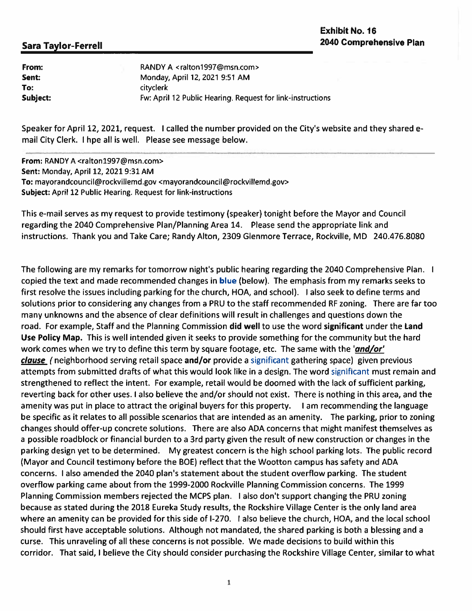| From:<br>Sent: | RANDY A <ralton1997@msn.com><br/>Monday, April 12, 2021 9:51 AM</ralton1997@msn.com> |
|----------------|--------------------------------------------------------------------------------------|
| To:            | cityclerk                                                                            |
| Subject:       | Fw: April 12 Public Hearing. Request for link-instructions                           |

Speaker for April 12, 2021, request. I called the number provided on the City's website and they shared email City Clerk. I hpe all is well. Please see message below.

From: RANDY A <ralton1997@msn.com> Sent: Monday, April 12, 2021 9:31 AM To: mayorandcouncil@rockvillemd.gov <mayorandcouncil@rockvillemd.gov> Subject: April 12 Public Hearing. Request for link-instructions

This e-mail serves as my request to provide testimony (speaker) tonight before the Mayor and Council regarding the 2040 Comprehensive Plan/Planning Area 14. Please send the appropriate link and instructions. Thank you and Take Care; Randy Alton, 2309 Glenmore Terrace, Rockville, MD 240.476.8080

The following are my remarks for tomorrow night's public hearing regarding the 2040 Comprehensive Plan. I copied the text and made recommended changes in blue (below). The emphasis from my remarks seeks to first resolve the issues including parking for the church, HOA, and school). I also seek to define terms and solutions prior to considering any changes from a PRU to the staff recommended RF zoning. There are far too many unknowns and the absence of clear definitions will result in challenges and questions down the road. For example, Staff and the Planning Commission did well to use the word significant under the Land Use Policy Map. This is well intended given it seeks to provide something for the community but the hard work comes when we try to define this term by square footage, etc. The same with the 'and/or' clause (neighborhood serving retail space and/or provide a significant gathering space) given previous attempts from submitted drafts of what this would look like in a design. The word significant must remain and strengthened to reflect the intent. For example, retail would be doomed with the lack of sufficient parking, reverting back for other uses. I also believe the and/or should not exist. There is nothing in this area, and the amenity was put in place to attract the original buyers for this property. I am recommending the language be specific as it relates to all possible scenarios that are intended as an amenity. The parking, prior to zoning changes should offer-up concrete solutions. There are also ADA concerns that might manifest themselves as a possible roadblock or financial burden to a 3rd party given the result of new construction or changes in the parking design yet to be determined. My greatest concern is the high school parking lots. The public record (Mayor and Council testimony before the BOE) reflect that the Wootton campus has safety and ADA concerns. I also amended the 2040 plan's statement about the student overflow parking. The student overflow parking came about from the 1999-2000 Rockville Planning Commission concerns. The 1999 Planning Commission members rejected the MCPS plan. I also don't support changing the PRU zoning because as stated during the 2018 Eureka Study results, the Rockshire Village Center is the only land area where an amenity can be provided for this side of I-270. I also believe the church, HOA, and the local school should first have acceptable solutions. Although not mandated, the shared parking is both a blessing and a curse. This unraveling of all these concerns is not possible. We made decisions to build within this corridor. That said, I believe the City should consider purchasing the Rockshire Village Center, similar to what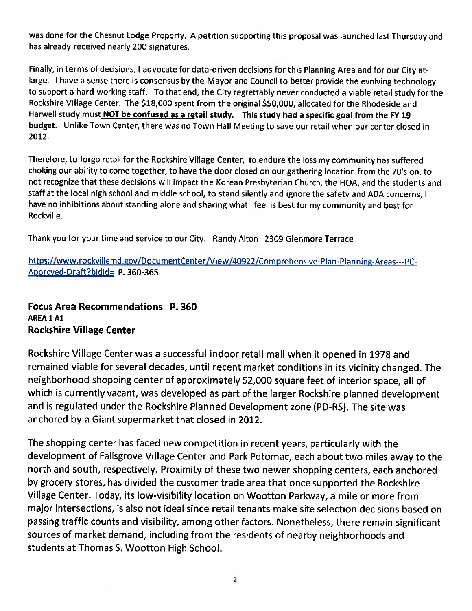was done for the Chesnut Lodge Property. A petition supporting this proposal was launched last Thursday and has already received nearly 200 signatures.

Finally, in terms of decisions, I advocate for data-driven decisions for this Planning Area and for our City atlarge. I have a sense there is consensus by the Mayor and Council to better provide the evolving technology to support a hard-working staff. To that end, the City regrettably never conducted a viable retail study for the Rockshire Village Center. The \$18,000 spent from the original \$50,000, allocated for the Rhodeside and Harwell study must NOT be confused as a retail study. This study had a specific goal from the FY 19 budget. Unlike Town Center, there was no Town Hall Meeting to save our retail when our center closed in 2012.

Therefore, to forgo retail for the Rockshire Village Center, to endure the loss my community has suffered choking our ability to come together, to have the door closed on our gathering location from the 70's on, to not recognize that these decisions will impact the Korean Presbyterian Church, the HOA, and the students and staff at the local high school and middle school, to stand silently and ignore the safety and ADA concerns, I have no inhibitions about standing alone and sharing what I feel is best for my community and best for Rockville.

Thank you for your time and service to our City. Randy Alton 2309 Glenmore Terrace

https://www.rockvillemd.gov/DocumentCenter/View/40922/Comprehensive-Plan-Planning-Areas---PC-Approved-Draft?bidld= P. 360-365.

## **Focus Area Recommendations P. 360** AREA 1 A1 **Rockshire Village Center**

Rockshire Village Center was a successful indoor retail mall when it opened in 1978 and remained viable for several decades, until recent market conditions in its vicinity changed. The neighborhood shopping center of approximately 52,000 square feet of interior space, all of which is currently vacant, was developed as part of the larger Rockshire planned development and is regulated under the Rockshire Planned Development zone (PD-RS). The site was anchored by a Giant supermarket that closed in 2012.

The shopping center has faced new competition in recent years, particularly with the development of Fallsgrove Village Center and Park Potomac, each about two miles away to the north and south, respectively. Proximity of these two newer shopping centers, each anchored by grocery stores, has divided the customer trade area that once supported the Rockshire Village Center. Today, its low-visibility location on Wootton Parkway, a mile or more from major intersections, is also not ideal since retail tenants make site selection decisions based on passing traffic counts and visibility, among other factors. Nonetheless, there remain significant sources of market demand, including from the residents of nearby neighborhoods and students at Thomas S. Wootton High School.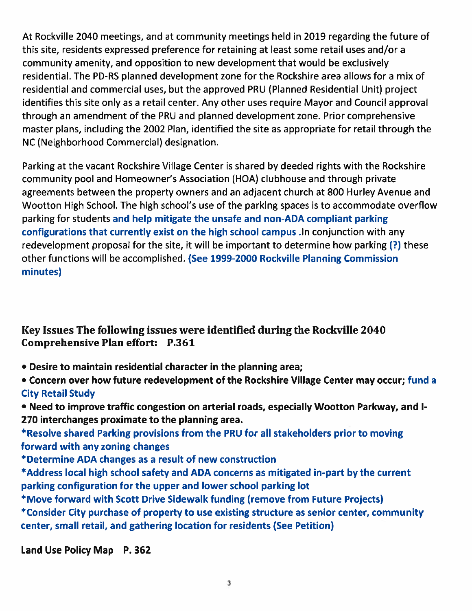At Rockville 2040 meetings, and at community meetings held in 2019 regarding the future of this site, residents expressed preference for retaining at least some retail uses and/or a community amenity, and opposition to new development that would be exclusively residential. The PD-RS planned development zone for the Rockshire area allows for a mix of residential and commercial uses, but the approved PRU (Planned Residential Unit) project identifies this site only as a retail center. Any other uses require Mayor and Council approval through an amendment of the PRU and planned development zone. Prior comprehensive master plans, including the 2002 Plan, identified the site as appropriate for retail through the NC (Neighborhood Commercial) designation.

Parking at the vacant Rockshire Village Center is shared by deeded rights with the Rockshire community pool and Homeowner's Association (HOA) clubhouse and through private agreements between the property owners and an adjacent church at 800 Hurley Avenue and Wootton High School. The high school's use of the parking spaces is to accommodate overflow parking for students and help mitigate the unsafe and non-ADA compliant parking configurations that currently exist on the high school campus . In conjunction with any redevelopment proposal for the site, it will be important to determine how parking (?) these other functions will be accomplished. (See 1999-2000 Rockville Planning Commission minutes)

Key Issues The following issues were identified during the Rockville 2040 **Comprehensive Plan effort: P.361** 

• Desire to maintain residential character in the planning area;

. Concern over how future redevelopment of the Rockshire Village Center may occur; fund a **City Retail Study** 

. Need to improve traffic congestion on arterial roads, especially Wootton Parkway, and I-270 interchanges proximate to the planning area.

\*Resolve shared Parking provisions from the PRU for all stakeholders prior to moving forward with any zoning changes

\*Determine ADA changes as a result of new construction

\*Address local high school safety and ADA concerns as mitigated in-part by the current parking configuration for the upper and lower school parking lot

\*Move forward with Scott Drive Sidewalk funding (remove from Future Projects)

\*Consider City purchase of property to use existing structure as senior center, community center, small retail, and gathering location for residents (See Petition)

Land Use Policy Map P. 362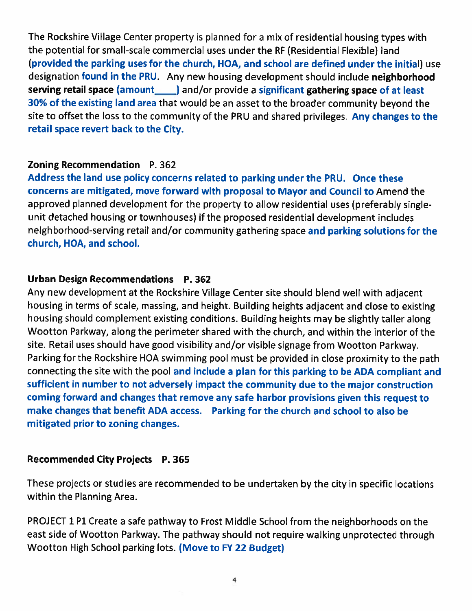The Rockshire Village Center property is planned for a mix of residential housing types with the potential for small-scale commercial uses under the RF (Residential Flexible) land (provided the parking uses for the church, HOA, and school are defined under the initial) use designation found in the PRU. Any new housing development should include neighborhood serving retail space (amount and/or provide a significant gathering space of at least 30% of the existing land area that would be an asset to the broader community beyond the site to offset the loss to the community of the PRU and shared privileges. Any changes to the retail space revert back to the City.

# **Zoning Recommendation** P. 362

Address the land use policy concerns related to parking under the PRU. Once these concerns are mitigated, move forward with proposal to Mayor and Council to Amend the approved planned development for the property to allow residential uses (preferably singleunit detached housing or townhouses) if the proposed residential development includes neighborhood-serving retail and/or community gathering space and parking solutions for the church, HOA, and school.

# Urban Design Recommendations P. 362

Any new development at the Rockshire Village Center site should blend well with adjacent housing in terms of scale, massing, and height. Building heights adjacent and close to existing housing should complement existing conditions. Building heights may be slightly taller along Wootton Parkway, along the perimeter shared with the church, and within the interior of the site. Retail uses should have good visibility and/or visible signage from Wootton Parkway. Parking for the Rockshire HOA swimming pool must be provided in close proximity to the path connecting the site with the pool and include a plan for this parking to be ADA compliant and sufficient in number to not adversely impact the community due to the major construction coming forward and changes that remove any safe harbor provisions given this request to make changes that benefit ADA access. Parking for the church and school to also be mitigated prior to zoning changes.

# **Recommended City Projects P. 365**

These projects or studies are recommended to be undertaken by the city in specific locations within the Planning Area.

PROJECT 1 P1 Create a safe pathway to Frost Middle School from the neighborhoods on the east side of Wootton Parkway. The pathway should not require walking unprotected through Wootton High School parking lots. (Move to FY 22 Budget)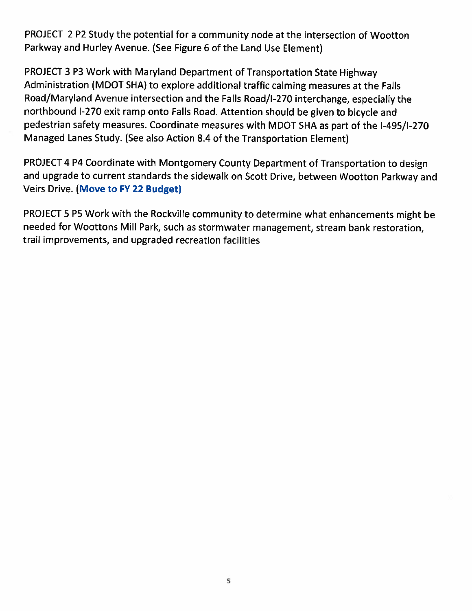PROJECT 2 P2 Study the potential for a community node at the intersection of Wootton Parkway and Hurley Avenue. (See Figure 6 of the Land Use Element)

PROJECT 3 P3 Work with Maryland Department of Transportation State Highway Administration (MDOT SHA) to explore additional traffic calming measures at the Falls Road/Maryland Avenue intersection and the Falls Road/I-270 interchange, especially the northbound I-270 exit ramp onto Falls Road. Attention should be given to bicycle and pedestrian safety measures. Coordinate measures with MDOT SHA as part of the I-495/I-270 Managed Lanes Study. (See also Action 8.4 of the Transportation Element)

PROJECT 4 P4 Coordinate with Montgomery County Department of Transportation to design and upgrade to current standards the sidewalk on Scott Drive, between Wootton Parkway and Veirs Drive. (Move to FY 22 Budget)

PROJECT 5 P5 Work with the Rockville community to determine what enhancements might be needed for Woottons Mill Park, such as stormwater management, stream bank restoration, trail improvements, and upgraded recreation facilities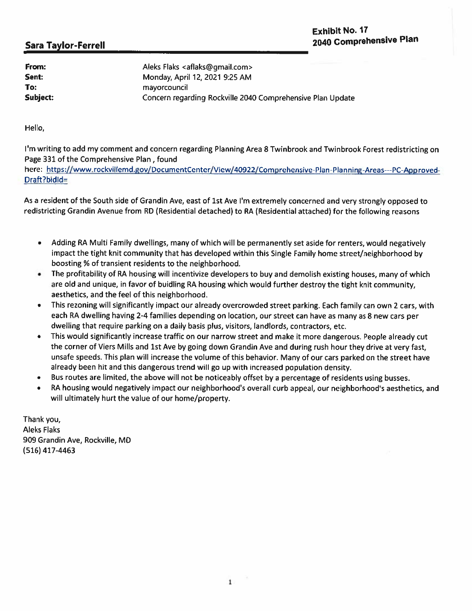| From:    | Aleks Flaks <aflaks@gmail.com></aflaks@gmail.com>          |
|----------|------------------------------------------------------------|
| Sent:    | Monday, April 12, 2021 9:25 AM                             |
| To:      | mayorcouncil                                               |
| Subject: | Concern regarding Rockville 2040 Comprehensive Plan Update |

Hello,

I'm writing to add my comment and concern regarding Planning Area 8 Twinbrook and Twinbrook Forest redistricting on Page 331 of the Comprehensive Plan, found

here: https://www.rockvillemd.gov/DocumentCenter/View/40922/Comprehensive-Plan-Planning-Areas---PC-Approved-Draft?bidld=

As a resident of the South side of Grandin Ave, east of 1st Ave I'm extremely concerned and very strongly opposed to redistricting Grandin Avenue from RD (Residential detached) to RA (Residential attached) for the following reasons

- Adding RA Multi Family dwellings, many of which will be permanently set aside for renters, would negatively  $\bullet$ impact the tight knit community that has developed within this Single Family home street/neighborhood by boosting % of transient residents to the neighborhood.
- The profitability of RA housing will incentivize developers to buy and demolish existing houses, many of which are old and unique, in favor of buidling RA housing which would further destroy the tight knit community, aesthetics, and the feel of this neighborhood.
- This rezoning will significantly impact our already overcrowded street parking. Each family can own 2 cars, with each RA dwelling having 2-4 families depending on location, our street can have as many as 8 new cars per dwelling that require parking on a daily basis plus, visitors, landlords, contractors, etc.
- This would significantly increase traffic on our narrow street and make it more dangerous. People already cut the corner of Viers Mills and 1st Ave by going down Grandin Ave and during rush hour they drive at very fast, unsafe speeds. This plan will increase the volume of this behavior. Many of our cars parked on the street have already been hit and this dangerous trend will go up with increased population density.
- Bus routes are limited, the above will not be noticeably offset by a percentage of residents using busses.
- RA housing would negatively impact our neighborhood's overall curb appeal, our neighborhood's aesthetics, and  $\bullet$ will ultimately hurt the value of our home/property.

Thank you, **Aleks Flaks** 909 Grandin Ave, Rockville, MD (516) 417-4463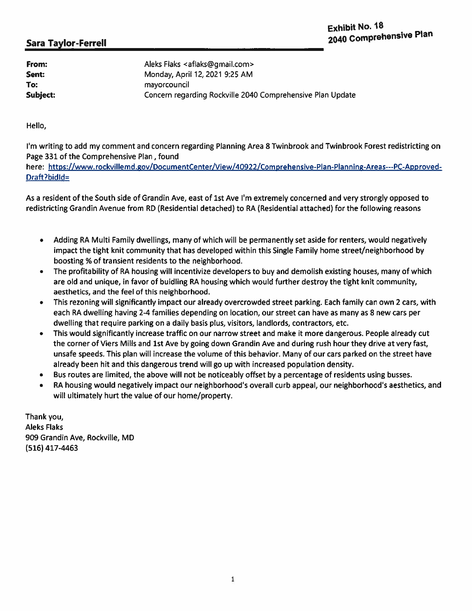| From:    | Aleks Flaks <aflaks@gmail.com></aflaks@gmail.com>          |
|----------|------------------------------------------------------------|
| Sent:    | Monday, April 12, 2021 9:25 AM                             |
| To:      | mayorcouncil                                               |
| Subject: | Concern regarding Rockville 2040 Comprehensive Plan Update |

Hello,

I'm writing to add my comment and concern regarding Planning Area 8 Twinbrook and Twinbrook Forest redistricting on Page 331 of the Comprehensive Plan, found

here: https://www.rockvillemd.gov/DocumentCenter/View/40922/Comprehensive-Plan-Planning-Areas---PC-Approved-Draft?bidld=

As a resident of the South side of Grandin Ave, east of 1st Ave I'm extremely concerned and very strongly opposed to redistricting Grandin Avenue from RD (Residential detached) to RA (Residential attached) for the following reasons

- Adding RA Multi Family dwellings, many of which will be permanently set aside for renters, would negatively  $\bullet$ impact the tight knit community that has developed within this Single Family home street/neighborhood by boosting % of transient residents to the neighborhood.
- The profitability of RA housing will incentivize developers to buy and demolish existing houses, many of which  $\bullet$ are old and unique, in favor of buidling RA housing which would further destroy the tight knit community, aesthetics, and the feel of this neighborhood.
- This rezoning will significantly impact our already overcrowded street parking. Each family can own 2 cars, with ۰ each RA dwelling having 2-4 families depending on location, our street can have as many as 8 new cars per dwelling that require parking on a daily basis plus, visitors, landlords, contractors, etc.
- This would significantly increase traffic on our narrow street and make it more dangerous. People already cut the corner of Viers Mills and 1st Ave by going down Grandin Ave and during rush hour they drive at very fast, unsafe speeds. This plan will increase the volume of this behavior. Many of our cars parked on the street have already been hit and this dangerous trend will go up with increased population density.
- Bus routes are limited, the above will not be noticeably offset by a percentage of residents using busses.  $\bullet$
- RA housing would negatively impact our neighborhood's overall curb appeal, our neighborhood's aesthetics, and  $\bullet$ will ultimately hurt the value of our home/property.

Thank you, **Aleks Flaks** 909 Grandin Ave, Rockville, MD (516) 417-4463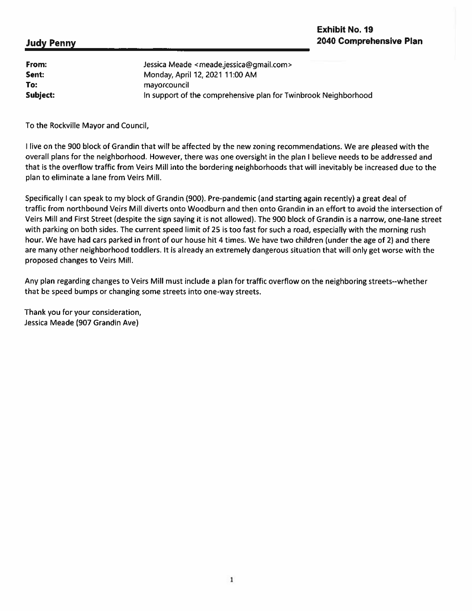### **Judy Penny**

| From:    | Jessica Meade <meade.jessica@gmail.com></meade.jessica@gmail.com> |
|----------|-------------------------------------------------------------------|
| Sent:    | Monday, April 12, 2021 11:00 AM                                   |
| To:      | mayorcouncil                                                      |
| Subject: | In support of the comprehensive plan for Twinbrook Neighborhood   |

To the Rockville Mayor and Council,

I live on the 900 block of Grandin that will be affected by the new zoning recommendations. We are pleased with the overall plans for the neighborhood. However, there was one oversight in the plan I believe needs to be addressed and that is the overflow traffic from Veirs Mill into the bordering neighborhoods that will inevitably be increased due to the plan to eliminate a lane from Veirs Mill.

Specifically I can speak to my block of Grandin (900). Pre-pandemic (and starting again recently) a great deal of traffic from northbound Veirs Mill diverts onto Woodburn and then onto Grandin in an effort to avoid the intersection of Veirs Mill and First Street (despite the sign saying it is not allowed). The 900 block of Grandin is a narrow, one-lane street with parking on both sides. The current speed limit of 25 is too fast for such a road, especially with the morning rush hour. We have had cars parked in front of our house hit 4 times. We have two children (under the age of 2) and there are many other neighborhood toddlers. It is already an extremely dangerous situation that will only get worse with the proposed changes to Veirs Mill.

Any plan regarding changes to Veirs Mill must include a plan for traffic overflow on the neighboring streets--whether that be speed bumps or changing some streets into one-way streets.

Thank you for your consideration, Jessica Meade (907 Grandin Ave)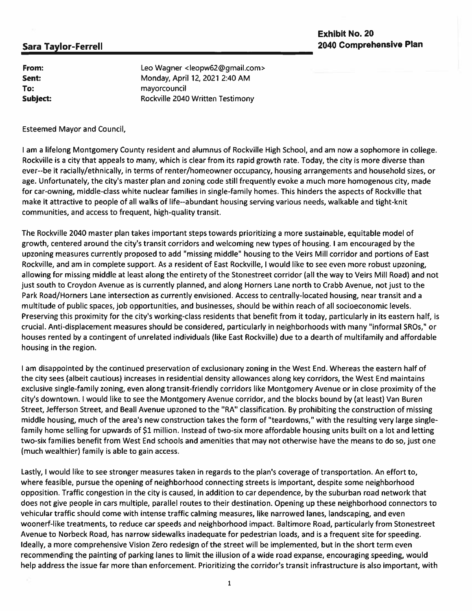### **Exhibit No. 20** 2040 Comprehensive Plan

### **Sara Taylor-Ferrell**

From: Sent: To: Subject: Leo Wagner <leopw62@gmail.com> Monday, April 12, 2021 2:40 AM mayorcouncil Rockville 2040 Written Testimony

**Esteemed Mayor and Council,** 

I am a lifelong Montgomery County resident and alumnus of Rockville High School, and am now a sophomore in college. Rockville is a city that appeals to many, which is clear from its rapid growth rate. Today, the city is more diverse than ever--be it racially/ethnically, in terms of renter/homeowner occupancy, housing arrangements and household sizes, or age. Unfortunately, the city's master plan and zoning code still frequently evoke a much more homogenous city, made for car-owning, middle-class white nuclear families in single-family homes. This hinders the aspects of Rockville that make it attractive to people of all walks of life--abundant housing serving various needs, walkable and tight-knit communities, and access to frequent, high-quality transit.

The Rockville 2040 master plan takes important steps towards prioritizing a more sustainable, equitable model of growth, centered around the city's transit corridors and welcoming new types of housing. I am encouraged by the upzoning measures currently proposed to add "missing middle" housing to the Veirs Mill corridor and portions of East Rockville, and am in complete support. As a resident of East Rockville, I would like to see even more robust upzoning, allowing for missing middle at least along the entirety of the Stonestreet corridor (all the way to Veirs Mill Road) and not just south to Croydon Avenue as is currently planned, and along Horners Lane north to Crabb Avenue, not just to the Park Road/Horners Lane intersection as currently envisioned. Access to centrally-located housing, near transit and a multitude of public spaces, job opportunities, and businesses, should be within reach of all socioeconomic levels. Preserving this proximity for the city's working-class residents that benefit from it today, particularly in its eastern half, is crucial. Anti-displacement measures should be considered, particularly in neighborhoods with many "informal SROs," or houses rented by a contingent of unrelated individuals (like East Rockville) due to a dearth of multifamily and affordable housing in the region.

I am disappointed by the continued preservation of exclusionary zoning in the West End. Whereas the eastern half of the city sees (albeit cautious) increases in residential density allowances along key corridors, the West End maintains exclusive single-family zoning, even along transit-friendly corridors like Montgomery Avenue or in close proximity of the city's downtown. I would like to see the Montgomery Avenue corridor, and the blocks bound by (at least) Van Buren Street, Jefferson Street, and Beall Avenue upzoned to the "RA" classification. By prohibiting the construction of missing middle housing, much of the area's new construction takes the form of "teardowns," with the resulting very large singlefamily home selling for upwards of \$1 million. Instead of two-six more affordable housing units built on a lot and letting two-six families benefit from West End schools and amenities that may not otherwise have the means to do so, just one (much wealthier) family is able to gain access.

Lastly, I would like to see stronger measures taken in regards to the plan's coverage of transportation. An effort to, where feasible, pursue the opening of neighborhood connecting streets is important, despite some neighborhood opposition. Traffic congestion in the city is caused, in addition to car dependence, by the suburban road network that does not give people in cars multiple, parallel routes to their destination. Opening up these neighborhood connectors to vehicular traffic should come with intense traffic calming measures, like narrowed lanes, landscaping, and even woonerf-like treatments, to reduce car speeds and neighborhood impact. Baltimore Road, particularly from Stonestreet Avenue to Norbeck Road, has narrow sidewalks inadequate for pedestrian loads, and is a frequent site for speeding. Ideally, a more comprehensive Vision Zero redesign of the street will be implemented, but in the short term even recommending the painting of parking lanes to limit the illusion of a wide road expanse, encouraging speeding, would help address the issue far more than enforcement. Prioritizing the corridor's transit infrastructure is also important, with